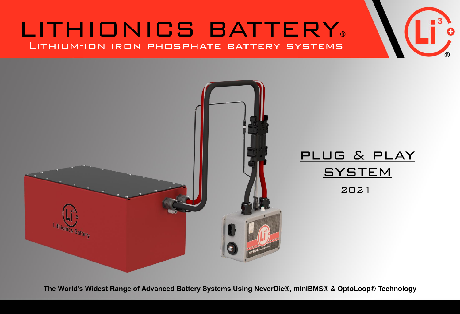# LITHIONICS BATTERY. LITHIUM-ION IRON PHOSPHATE BATTERY SYSTEMS



**The World's Widest Range of Advanced Battery Systems Using NeverDie®, miniBMS® & OptoLoop® Technology**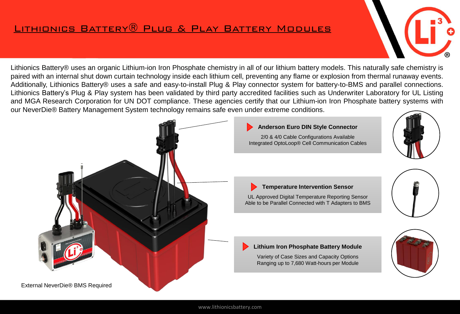# <u>LITHIONICS BATTERY® PLUG & PLAY BATTERY MODULES</u>

Lithionics Battery® uses an organic Lithium-ion Iron Phosphate chemistry in all of our lithium battery models. This naturally safe chemistry is paired with an internal shut down curtain technology inside each lithium cell, preventing any flame or explosion from thermal runaway events. Additionally, Lithionics Battery® uses a safe and easy-to-install Plug & Play connector system for battery-to-BMS and parallel connections. Lithionics Battery's Plug & Play system has been validated by third party accredited facilities such as Underwriter Laboratory for UL Listing and MGA Research Corporation for UN DOT compliance. These agencies certify that our Lithium-ion Iron Phosphate battery systems with our NeverDie® Battery Management System technology remains safe even under extreme conditions.

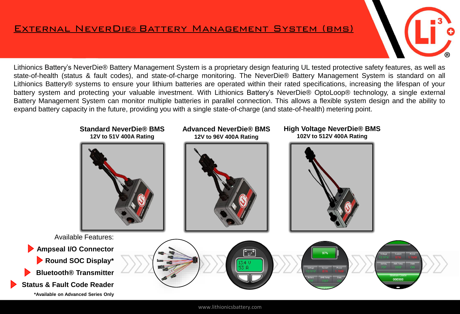## EXTERNAL NEVERDIE® BATTERY MANAGEMENT SYSTEM (BMS)

![](_page_2_Picture_1.jpeg)

Lithionics Battery's NeverDie® Battery Management System is a proprietary design featuring UL tested protective safety features, as well as state-of-health (status & fault codes), and state-of-charge monitoring. The NeverDie® Battery Management System is standard on all Lithionics Battery® systems to ensure your lithium batteries are operated within their rated specifications, increasing the lifespan of your battery system and protecting your valuable investment. With Lithionics Battery's NeverDie® OptoLoop® technology, a single external Battery Management System can monitor multiple batteries in parallel connection. This allows a flexible system design and the ability to expand battery capacity in the future, providing you with a single state-of-charge (and state-of-health) metering point.

![](_page_2_Figure_3.jpeg)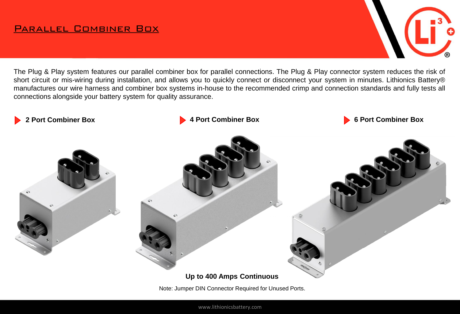### PARALLEL COMBINER BOX

The Plug & Play system features our parallel combiner box for parallel connections. The Plug & Play connector system reduces the risk of short circuit or mis-wiring during installation, and allows you to quickly connect or disconnect your system in minutes. Lithionics Battery® manufactures our wire harness and combiner box systems in-house to the recommended crimp and connection standards and fully tests all connections alongside your battery system for quality assurance.

![](_page_3_Picture_3.jpeg)

Note: Jumper DIN Connector Required for Unused Ports.

www.lithionicsbattery.com